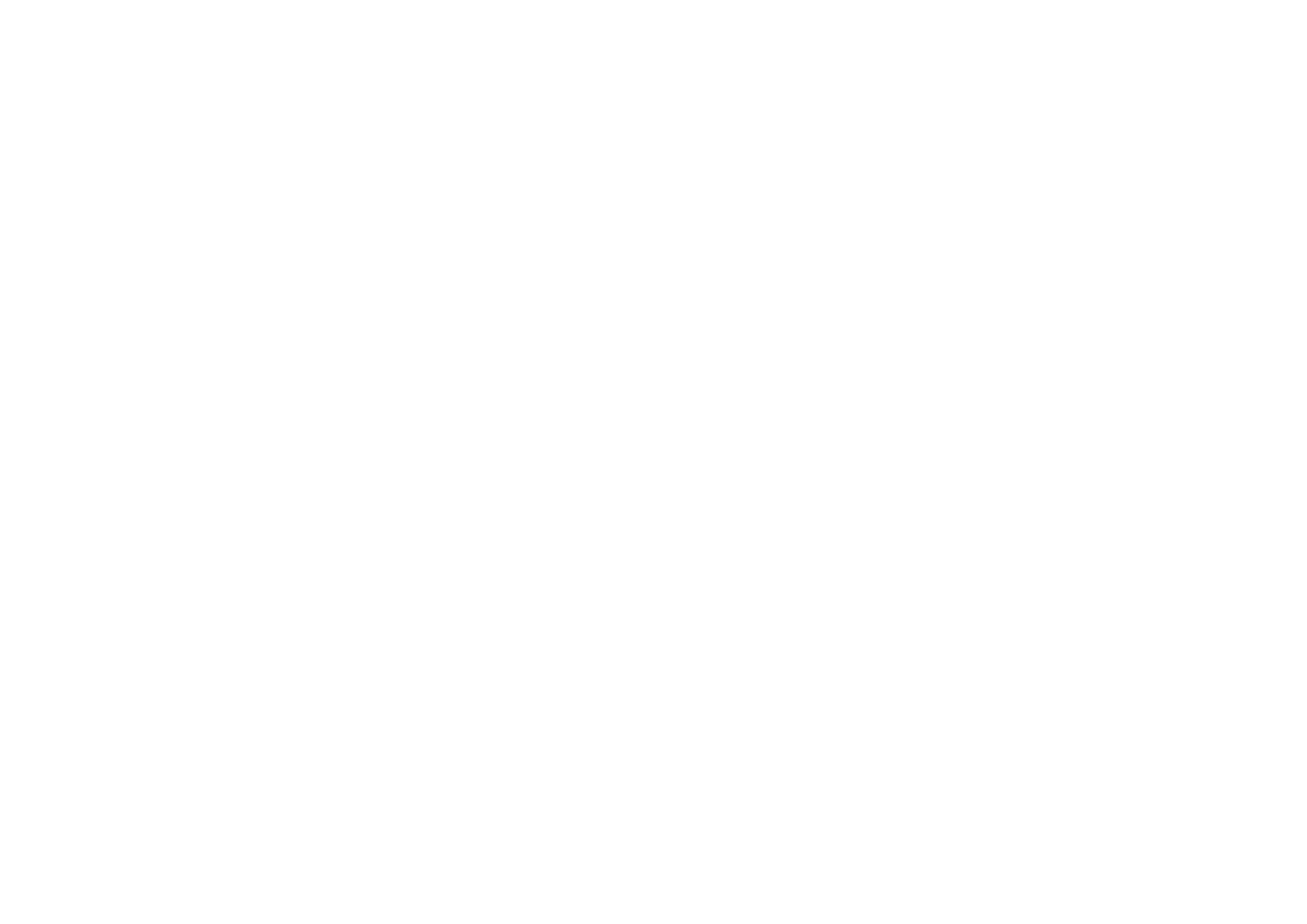# **RZEŹNIK ENIGMA 2018**

Organizator: Fundacja Bieg Rzeźnika<br>Data: 2018-06-03  $2018-06-03$ Miejsce: Cisna<br>Dystans: 30 km Dystans: Klasyfikacja wg czasów brutto.

## **RZEŹNIK ENIGMA 2018, OPEN**





| 1 PROBST WOJCIECH<br>3240<br>M30<br>M <sub>1</sub><br>03:10:00.00 03:10:00.00<br>6:20<br>1<br>3277<br>2 BIELAWA RAFAŁ<br><b>WROCŁAW</b><br>M40<br><sup>1</sup><br>M <sub>2</sub><br>03:10:00.00 03:10:00.00<br>6:20<br>3189<br>7:59<br>3   AROSZUK ANDRZEJ<br>WARSZAWA<br>POL<br>M20<br>M 3<br>03:59:31.85 03:59:31.85<br>-1<br>3197<br>M30<br>$\overline{2}$<br>4 CHOJNACKI WIKTOR<br>LUTOWISKA<br>POL<br>M 4<br>04:19:20.05  04:19:20.05<br>8:38<br>5 ZAMOJSKI ROBERT<br>3200<br><b>GLIWICE</b><br>M40<br>$\overline{2}$<br>04:26:15.40  04:26:15.40<br>8:52<br>POL<br>M 5<br>3238<br>$\overline{3}$<br>6 BARANOWSKI JACEK<br>M30<br>04:29:10.95  04:29:10.95<br>8:58<br>6.7<br>M 6<br>ŻÓŁWIN<br>6.6<br>7 KOWALCZYK MARIUSZ<br>3178<br>M40<br>3<br>04:32:30.90 04:32:30.90<br>POL<br>M 7<br>9:05<br>POL<br>$\overline{2}$<br>6.6<br>8 PERENC MICHAŁ<br>3066 HUSARIA RACE TEAM<br><b>JAROSŁAW</b><br>M20<br>9:05<br>M 8<br>04:32:49.65 04:32:49.65<br><b>HUSARIA RACE TEAM</b><br>WARSZAWA<br>6.6<br>9 NARKO ALEKSEY<br>3089<br>POL<br>M20<br>$\overline{3}$<br>M 9<br>04:34:35.85  04:34:35.85<br>9:09<br>M30<br>3251<br>$\overline{4}$<br>04:36:57.55 04:36:57.55<br>9:13<br>6.5<br>10 LITWIN BARTŁOMIEJ<br>M 10<br>POLAŃCZYK<br>6.5<br>11 GŁUSZKO PRZEMEK<br>3097 SOLINA TEAM<br>M30<br>POL<br>-5<br>M 11<br>04:37:33.50 04:37:33.50<br>9:15<br><b>KOSZALIN</b><br>POL<br>M30<br>6.4<br>12 RAJNER KRZYSZTOF<br>3106 ULTRA KOSZALIN<br>04:39:32.90 04:39:32.90<br>9:19<br>6<br>M 12<br>KIELCE<br>13 KONIK MARCIN<br>3142<br>POL<br>M30<br>$\overline{7}$<br>04:39:47.75  04:39:47.75<br>9:19<br>6.4<br>M 13<br>3159<br>POL<br>14 GOSTOMSKA KATARZYNA<br><b>WOLA</b><br>K30<br>04:39:50.20 04:39:50.20<br>6.4<br><sup>1</sup><br>K <sub>1</sub><br>9:19<br>3235<br>M20<br>6.4<br>15 SZMYD KAMIL<br><b>USTRZYKI DOLNE</b><br>M 14<br>04:41:11.15  04:41:11.15<br>9:22<br>$\overline{4}$<br>3035<br>6.4<br>16 BONIKOWSKI TOMASZ<br><b>GRODZISK MAZ</b><br>POL<br>M40<br>$\overline{4}$<br>04:41:22.20 04:41:22.20<br>9:22<br>M 15<br>17 WNOROWSKI STEFAN<br>6.4<br>3145 GREY<br>POL<br>M40<br>-5<br>04:42:07.85 04:42:07.85<br>9:24<br>KONSTANCIN - JEZIORNA<br>M 16<br>LOKOMOTIV MAJDAN<br>M30<br>8<br>6.3<br>18 JAREMA MACIEK<br>3219<br><b>CISNA</b><br>POL<br>04:43:47.55 04:43:47.55<br>9:27<br>M 17<br>POL<br>M20<br>6.3<br>19 MAJEWSKI MARCIN<br>3139 GOLONKA HULS<br>GABIN<br>-5<br>M 18<br>04:43:47.55 04:43:47.55<br>9:27<br><b>PABIANICE</b><br>POL<br>M30<br>9<br>9:29<br>6.3<br>20 DAJCZ JAROSŁAW<br>3160 KORONA PABIANICE<br>M 19<br>04:44:55.00 04:44:55.00<br>6.3<br>21 PUCHACZ PIOTR<br>3129<br>WARSZAWA<br>POL<br>M40<br>6<br>04:45:01.85 04:45:01.85<br>M 20<br>9:30<br>3233<br>RZESZÓW<br>M30<br>6.3<br>22 DYMEK MATEUSZ<br>10<br>9:31<br>M 21<br>04:45:50.60 04:45:50.60<br>23 ŚWIDZIŃSKI TOMASZ<br>3217 VEGE RUNNERS<br><b>KRAKÓW</b><br>POL<br>M40<br>$7\overline{ }$<br>04:46:34.35 04:46:34.35<br>9:33<br>6.3<br>M 22<br>ŁAŃCUT<br>POL<br>K30<br>$\overline{2}$<br>6.3<br>24 PIATEK BEATA<br>3005<br>K <sub>2</sub><br>04:46:51.15  04:46:51.15<br>9:33<br>25 ĆWIAKAŁA MICHAŁ<br>3109 PW PODKARPACKIE WILKI<br>ZARSZYN<br>POL<br>M30<br>6.3<br>11<br>M 23<br>04:46:53.10 04:46:53.10<br>9:33<br><b>DUCHNÓW</b><br>POL<br>M30<br>12<br>6.2<br>26 URBAN HUBERT<br>3037<br>HUSARIA RACE TEAM<br>9:43<br>M 24<br>04:51:37.80  04:51:37.80<br>RZESZÓW<br>6.2<br>27 KOSZOREK MATEUSZ<br>3216<br>POL<br>M20<br>6<br>04:51:53.80  04:51:53.80<br>9:43<br>M 25<br>3209<br>28 GŁUSZEK TOMASZ<br>KIELCE<br>POL<br>M30<br>13<br>6.2<br>M 26<br>04:52:25.65 04:52:25.65<br>9:44<br>29 SAMUŚ DARIUSZ<br>3245<br>M30<br>6.1<br>14<br>04:55:42.90 04:55:42.90<br>9:51<br>M 27<br>3058<br>30 PRZYPOLSKI PAWEŁ<br><b>IM-POSSIBLE TEAM</b><br>WARSZAWA<br>POL<br>M40<br>8<br>04:59:10.65 04:59:10.65<br>9:58<br>M 28<br>5.8<br>31 NOWAK MIROSLAW<br>3017<br>KONSTANTYNOW LODZKI<br>POL<br>M40<br>9<br>05:07:54.55 05:07:54.55<br>10:15<br>M 29<br>3104<br>POL<br>M40<br>5.8<br>32 PONIEWOZIK IRENEUSZ<br>LUBLIN<br>10<br>M 30<br>05:07:54.80 05:07:54.80<br>10:15<br>3125<br>WARSZAWA<br>POL<br>M40<br>11<br>5.7<br>33 WACHOWSKI KAROL<br>M 31<br>05:16:57.75  05:16:57.75<br>10:33<br>3237<br>K20<br>1<br>5.7<br>34 DZIUBAŁA KAROLINA<br>K <sub>3</sub><br>05:17:11.50  05:17:11.50<br>10:34<br>35 CHMIELOWIEC ANNA<br>3019<br>KB GALERIA WARSZAWA<br>WARSZAWA<br>K40<br>05:20:15.95   05:20:15.95<br>10:40<br>POL<br>1<br>K 4<br>ŁÓDŹ<br>K30<br>$\overline{3}$<br>36 TITZ-KOZA JULITA<br>3054<br>POL<br>K 5<br>05:21:02.45  05:21:02.45<br>10:42<br>37 GRABOŚ NINA<br>3027<br>WARSZAWA<br>POL<br>K40<br>2<br>K6<br>05:23:57.40  05:23:57.40<br>10:47<br>3053 GTS<br>POL<br>M30<br>15<br>38 BONIKOWSKI MATEUSZ<br><b>GRODZISK MAZOWIECKI</b><br>M 32<br>05:24:33.00 05:24:33.00<br>10:49<br>39 WISZ PIOTR<br>05:24:33.65 05:24:33.65 | M-ce | Nazwisko i imie | <b>Nr</b> | <b>Klub</b> | M-scowość | <b>Kraj</b> | Kat. |                | M. kat K/M | <b>Netto</b> | <b>Brutto</b> | min/km | km/h |
|---------------------------------------------------------------------------------------------------------------------------------------------------------------------------------------------------------------------------------------------------------------------------------------------------------------------------------------------------------------------------------------------------------------------------------------------------------------------------------------------------------------------------------------------------------------------------------------------------------------------------------------------------------------------------------------------------------------------------------------------------------------------------------------------------------------------------------------------------------------------------------------------------------------------------------------------------------------------------------------------------------------------------------------------------------------------------------------------------------------------------------------------------------------------------------------------------------------------------------------------------------------------------------------------------------------------------------------------------------------------------------------------------------------------------------------------------------------------------------------------------------------------------------------------------------------------------------------------------------------------------------------------------------------------------------------------------------------------------------------------------------------------------------------------------------------------------------------------------------------------------------------------------------------------------------------------------------------------------------------------------------------------------------------------------------------------------------------------------------------------------------------------------------------------------------------------------------------------------------------------------------------------------------------------------------------------------------------------------------------------------------------------------------------------------------------------------------------------------------------------------------------------------------------------------------------------------------------------------------------------------------------------------------------------------------------------------------------------------------------------------------------------------------------------------------------------------------------------------------------------------------------------------------------------------------------------------------------------------------------------------------------------------------------------------------------------------------------------------------------------------------------------------------------------------------------------------------------------------------------------------------------------------------------------------------------------------------------------------------------------------------------------------------------------------------------------------------------------------------------------------------------------------------------------------------------------------------------------------------------------------------------------------------------------------------------------------------------------------------------------------------------------------------------------------------------------------------------------------------------------------------------------------------------------------------------------------------------------------------------------------------------------------------------------------------------------------------------------------------------------------------------------------------------------------------------------------------------------------------------------------------------------------------------------------------------------------------------------------------------------------------------------------------------------------------------------------------------------------------------------------------------------------------------------------------------------------------------------------------------------------------------------------------------------------------------------------------------------------------------------------------------------------------------------------------------------------------------------|------|-----------------|-----------|-------------|-----------|-------------|------|----------------|------------|--------------|---------------|--------|------|
|                                                                                                                                                                                                                                                                                                                                                                                                                                                                                                                                                                                                                                                                                                                                                                                                                                                                                                                                                                                                                                                                                                                                                                                                                                                                                                                                                                                                                                                                                                                                                                                                                                                                                                                                                                                                                                                                                                                                                                                                                                                                                                                                                                                                                                                                                                                                                                                                                                                                                                                                                                                                                                                                                                                                                                                                                                                                                                                                                                                                                                                                                                                                                                                                                                                                                                                                                                                                                                                                                                                                                                                                                                                                                                                                                                                                                                                                                                                                                                                                                                                                                                                                                                                                                                                                                                                                                                                                                                                                                                                                                                                                                                                                                                                                                                                                                                             |      |                 |           |             |           |             |      |                |            |              |               |        | 9.5  |
|                                                                                                                                                                                                                                                                                                                                                                                                                                                                                                                                                                                                                                                                                                                                                                                                                                                                                                                                                                                                                                                                                                                                                                                                                                                                                                                                                                                                                                                                                                                                                                                                                                                                                                                                                                                                                                                                                                                                                                                                                                                                                                                                                                                                                                                                                                                                                                                                                                                                                                                                                                                                                                                                                                                                                                                                                                                                                                                                                                                                                                                                                                                                                                                                                                                                                                                                                                                                                                                                                                                                                                                                                                                                                                                                                                                                                                                                                                                                                                                                                                                                                                                                                                                                                                                                                                                                                                                                                                                                                                                                                                                                                                                                                                                                                                                                                                             |      |                 |           |             |           |             |      |                |            |              |               |        | 9.5  |
|                                                                                                                                                                                                                                                                                                                                                                                                                                                                                                                                                                                                                                                                                                                                                                                                                                                                                                                                                                                                                                                                                                                                                                                                                                                                                                                                                                                                                                                                                                                                                                                                                                                                                                                                                                                                                                                                                                                                                                                                                                                                                                                                                                                                                                                                                                                                                                                                                                                                                                                                                                                                                                                                                                                                                                                                                                                                                                                                                                                                                                                                                                                                                                                                                                                                                                                                                                                                                                                                                                                                                                                                                                                                                                                                                                                                                                                                                                                                                                                                                                                                                                                                                                                                                                                                                                                                                                                                                                                                                                                                                                                                                                                                                                                                                                                                                                             |      |                 |           |             |           |             |      |                |            |              |               |        | 7.5  |
|                                                                                                                                                                                                                                                                                                                                                                                                                                                                                                                                                                                                                                                                                                                                                                                                                                                                                                                                                                                                                                                                                                                                                                                                                                                                                                                                                                                                                                                                                                                                                                                                                                                                                                                                                                                                                                                                                                                                                                                                                                                                                                                                                                                                                                                                                                                                                                                                                                                                                                                                                                                                                                                                                                                                                                                                                                                                                                                                                                                                                                                                                                                                                                                                                                                                                                                                                                                                                                                                                                                                                                                                                                                                                                                                                                                                                                                                                                                                                                                                                                                                                                                                                                                                                                                                                                                                                                                                                                                                                                                                                                                                                                                                                                                                                                                                                                             |      |                 |           |             |           |             |      |                |            |              |               |        | 6.9  |
|                                                                                                                                                                                                                                                                                                                                                                                                                                                                                                                                                                                                                                                                                                                                                                                                                                                                                                                                                                                                                                                                                                                                                                                                                                                                                                                                                                                                                                                                                                                                                                                                                                                                                                                                                                                                                                                                                                                                                                                                                                                                                                                                                                                                                                                                                                                                                                                                                                                                                                                                                                                                                                                                                                                                                                                                                                                                                                                                                                                                                                                                                                                                                                                                                                                                                                                                                                                                                                                                                                                                                                                                                                                                                                                                                                                                                                                                                                                                                                                                                                                                                                                                                                                                                                                                                                                                                                                                                                                                                                                                                                                                                                                                                                                                                                                                                                             |      |                 |           |             |           |             |      |                |            |              |               |        | 6.8  |
|                                                                                                                                                                                                                                                                                                                                                                                                                                                                                                                                                                                                                                                                                                                                                                                                                                                                                                                                                                                                                                                                                                                                                                                                                                                                                                                                                                                                                                                                                                                                                                                                                                                                                                                                                                                                                                                                                                                                                                                                                                                                                                                                                                                                                                                                                                                                                                                                                                                                                                                                                                                                                                                                                                                                                                                                                                                                                                                                                                                                                                                                                                                                                                                                                                                                                                                                                                                                                                                                                                                                                                                                                                                                                                                                                                                                                                                                                                                                                                                                                                                                                                                                                                                                                                                                                                                                                                                                                                                                                                                                                                                                                                                                                                                                                                                                                                             |      |                 |           |             |           |             |      |                |            |              |               |        |      |
|                                                                                                                                                                                                                                                                                                                                                                                                                                                                                                                                                                                                                                                                                                                                                                                                                                                                                                                                                                                                                                                                                                                                                                                                                                                                                                                                                                                                                                                                                                                                                                                                                                                                                                                                                                                                                                                                                                                                                                                                                                                                                                                                                                                                                                                                                                                                                                                                                                                                                                                                                                                                                                                                                                                                                                                                                                                                                                                                                                                                                                                                                                                                                                                                                                                                                                                                                                                                                                                                                                                                                                                                                                                                                                                                                                                                                                                                                                                                                                                                                                                                                                                                                                                                                                                                                                                                                                                                                                                                                                                                                                                                                                                                                                                                                                                                                                             |      |                 |           |             |           |             |      |                |            |              |               |        |      |
|                                                                                                                                                                                                                                                                                                                                                                                                                                                                                                                                                                                                                                                                                                                                                                                                                                                                                                                                                                                                                                                                                                                                                                                                                                                                                                                                                                                                                                                                                                                                                                                                                                                                                                                                                                                                                                                                                                                                                                                                                                                                                                                                                                                                                                                                                                                                                                                                                                                                                                                                                                                                                                                                                                                                                                                                                                                                                                                                                                                                                                                                                                                                                                                                                                                                                                                                                                                                                                                                                                                                                                                                                                                                                                                                                                                                                                                                                                                                                                                                                                                                                                                                                                                                                                                                                                                                                                                                                                                                                                                                                                                                                                                                                                                                                                                                                                             |      |                 |           |             |           |             |      |                |            |              |               |        |      |
|                                                                                                                                                                                                                                                                                                                                                                                                                                                                                                                                                                                                                                                                                                                                                                                                                                                                                                                                                                                                                                                                                                                                                                                                                                                                                                                                                                                                                                                                                                                                                                                                                                                                                                                                                                                                                                                                                                                                                                                                                                                                                                                                                                                                                                                                                                                                                                                                                                                                                                                                                                                                                                                                                                                                                                                                                                                                                                                                                                                                                                                                                                                                                                                                                                                                                                                                                                                                                                                                                                                                                                                                                                                                                                                                                                                                                                                                                                                                                                                                                                                                                                                                                                                                                                                                                                                                                                                                                                                                                                                                                                                                                                                                                                                                                                                                                                             |      |                 |           |             |           |             |      |                |            |              |               |        |      |
|                                                                                                                                                                                                                                                                                                                                                                                                                                                                                                                                                                                                                                                                                                                                                                                                                                                                                                                                                                                                                                                                                                                                                                                                                                                                                                                                                                                                                                                                                                                                                                                                                                                                                                                                                                                                                                                                                                                                                                                                                                                                                                                                                                                                                                                                                                                                                                                                                                                                                                                                                                                                                                                                                                                                                                                                                                                                                                                                                                                                                                                                                                                                                                                                                                                                                                                                                                                                                                                                                                                                                                                                                                                                                                                                                                                                                                                                                                                                                                                                                                                                                                                                                                                                                                                                                                                                                                                                                                                                                                                                                                                                                                                                                                                                                                                                                                             |      |                 |           |             |           |             |      |                |            |              |               |        |      |
|                                                                                                                                                                                                                                                                                                                                                                                                                                                                                                                                                                                                                                                                                                                                                                                                                                                                                                                                                                                                                                                                                                                                                                                                                                                                                                                                                                                                                                                                                                                                                                                                                                                                                                                                                                                                                                                                                                                                                                                                                                                                                                                                                                                                                                                                                                                                                                                                                                                                                                                                                                                                                                                                                                                                                                                                                                                                                                                                                                                                                                                                                                                                                                                                                                                                                                                                                                                                                                                                                                                                                                                                                                                                                                                                                                                                                                                                                                                                                                                                                                                                                                                                                                                                                                                                                                                                                                                                                                                                                                                                                                                                                                                                                                                                                                                                                                             |      |                 |           |             |           |             |      |                |            |              |               |        |      |
|                                                                                                                                                                                                                                                                                                                                                                                                                                                                                                                                                                                                                                                                                                                                                                                                                                                                                                                                                                                                                                                                                                                                                                                                                                                                                                                                                                                                                                                                                                                                                                                                                                                                                                                                                                                                                                                                                                                                                                                                                                                                                                                                                                                                                                                                                                                                                                                                                                                                                                                                                                                                                                                                                                                                                                                                                                                                                                                                                                                                                                                                                                                                                                                                                                                                                                                                                                                                                                                                                                                                                                                                                                                                                                                                                                                                                                                                                                                                                                                                                                                                                                                                                                                                                                                                                                                                                                                                                                                                                                                                                                                                                                                                                                                                                                                                                                             |      |                 |           |             |           |             |      |                |            |              |               |        |      |
|                                                                                                                                                                                                                                                                                                                                                                                                                                                                                                                                                                                                                                                                                                                                                                                                                                                                                                                                                                                                                                                                                                                                                                                                                                                                                                                                                                                                                                                                                                                                                                                                                                                                                                                                                                                                                                                                                                                                                                                                                                                                                                                                                                                                                                                                                                                                                                                                                                                                                                                                                                                                                                                                                                                                                                                                                                                                                                                                                                                                                                                                                                                                                                                                                                                                                                                                                                                                                                                                                                                                                                                                                                                                                                                                                                                                                                                                                                                                                                                                                                                                                                                                                                                                                                                                                                                                                                                                                                                                                                                                                                                                                                                                                                                                                                                                                                             |      |                 |           |             |           |             |      |                |            |              |               |        |      |
|                                                                                                                                                                                                                                                                                                                                                                                                                                                                                                                                                                                                                                                                                                                                                                                                                                                                                                                                                                                                                                                                                                                                                                                                                                                                                                                                                                                                                                                                                                                                                                                                                                                                                                                                                                                                                                                                                                                                                                                                                                                                                                                                                                                                                                                                                                                                                                                                                                                                                                                                                                                                                                                                                                                                                                                                                                                                                                                                                                                                                                                                                                                                                                                                                                                                                                                                                                                                                                                                                                                                                                                                                                                                                                                                                                                                                                                                                                                                                                                                                                                                                                                                                                                                                                                                                                                                                                                                                                                                                                                                                                                                                                                                                                                                                                                                                                             |      |                 |           |             |           |             |      |                |            |              |               |        |      |
|                                                                                                                                                                                                                                                                                                                                                                                                                                                                                                                                                                                                                                                                                                                                                                                                                                                                                                                                                                                                                                                                                                                                                                                                                                                                                                                                                                                                                                                                                                                                                                                                                                                                                                                                                                                                                                                                                                                                                                                                                                                                                                                                                                                                                                                                                                                                                                                                                                                                                                                                                                                                                                                                                                                                                                                                                                                                                                                                                                                                                                                                                                                                                                                                                                                                                                                                                                                                                                                                                                                                                                                                                                                                                                                                                                                                                                                                                                                                                                                                                                                                                                                                                                                                                                                                                                                                                                                                                                                                                                                                                                                                                                                                                                                                                                                                                                             |      |                 |           |             |           |             |      |                |            |              |               |        |      |
|                                                                                                                                                                                                                                                                                                                                                                                                                                                                                                                                                                                                                                                                                                                                                                                                                                                                                                                                                                                                                                                                                                                                                                                                                                                                                                                                                                                                                                                                                                                                                                                                                                                                                                                                                                                                                                                                                                                                                                                                                                                                                                                                                                                                                                                                                                                                                                                                                                                                                                                                                                                                                                                                                                                                                                                                                                                                                                                                                                                                                                                                                                                                                                                                                                                                                                                                                                                                                                                                                                                                                                                                                                                                                                                                                                                                                                                                                                                                                                                                                                                                                                                                                                                                                                                                                                                                                                                                                                                                                                                                                                                                                                                                                                                                                                                                                                             |      |                 |           |             |           |             |      |                |            |              |               |        |      |
|                                                                                                                                                                                                                                                                                                                                                                                                                                                                                                                                                                                                                                                                                                                                                                                                                                                                                                                                                                                                                                                                                                                                                                                                                                                                                                                                                                                                                                                                                                                                                                                                                                                                                                                                                                                                                                                                                                                                                                                                                                                                                                                                                                                                                                                                                                                                                                                                                                                                                                                                                                                                                                                                                                                                                                                                                                                                                                                                                                                                                                                                                                                                                                                                                                                                                                                                                                                                                                                                                                                                                                                                                                                                                                                                                                                                                                                                                                                                                                                                                                                                                                                                                                                                                                                                                                                                                                                                                                                                                                                                                                                                                                                                                                                                                                                                                                             |      |                 |           |             |           |             |      |                |            |              |               |        |      |
|                                                                                                                                                                                                                                                                                                                                                                                                                                                                                                                                                                                                                                                                                                                                                                                                                                                                                                                                                                                                                                                                                                                                                                                                                                                                                                                                                                                                                                                                                                                                                                                                                                                                                                                                                                                                                                                                                                                                                                                                                                                                                                                                                                                                                                                                                                                                                                                                                                                                                                                                                                                                                                                                                                                                                                                                                                                                                                                                                                                                                                                                                                                                                                                                                                                                                                                                                                                                                                                                                                                                                                                                                                                                                                                                                                                                                                                                                                                                                                                                                                                                                                                                                                                                                                                                                                                                                                                                                                                                                                                                                                                                                                                                                                                                                                                                                                             |      |                 |           |             |           |             |      |                |            |              |               |        |      |
|                                                                                                                                                                                                                                                                                                                                                                                                                                                                                                                                                                                                                                                                                                                                                                                                                                                                                                                                                                                                                                                                                                                                                                                                                                                                                                                                                                                                                                                                                                                                                                                                                                                                                                                                                                                                                                                                                                                                                                                                                                                                                                                                                                                                                                                                                                                                                                                                                                                                                                                                                                                                                                                                                                                                                                                                                                                                                                                                                                                                                                                                                                                                                                                                                                                                                                                                                                                                                                                                                                                                                                                                                                                                                                                                                                                                                                                                                                                                                                                                                                                                                                                                                                                                                                                                                                                                                                                                                                                                                                                                                                                                                                                                                                                                                                                                                                             |      |                 |           |             |           |             |      |                |            |              |               |        |      |
|                                                                                                                                                                                                                                                                                                                                                                                                                                                                                                                                                                                                                                                                                                                                                                                                                                                                                                                                                                                                                                                                                                                                                                                                                                                                                                                                                                                                                                                                                                                                                                                                                                                                                                                                                                                                                                                                                                                                                                                                                                                                                                                                                                                                                                                                                                                                                                                                                                                                                                                                                                                                                                                                                                                                                                                                                                                                                                                                                                                                                                                                                                                                                                                                                                                                                                                                                                                                                                                                                                                                                                                                                                                                                                                                                                                                                                                                                                                                                                                                                                                                                                                                                                                                                                                                                                                                                                                                                                                                                                                                                                                                                                                                                                                                                                                                                                             |      |                 |           |             |           |             |      |                |            |              |               |        |      |
|                                                                                                                                                                                                                                                                                                                                                                                                                                                                                                                                                                                                                                                                                                                                                                                                                                                                                                                                                                                                                                                                                                                                                                                                                                                                                                                                                                                                                                                                                                                                                                                                                                                                                                                                                                                                                                                                                                                                                                                                                                                                                                                                                                                                                                                                                                                                                                                                                                                                                                                                                                                                                                                                                                                                                                                                                                                                                                                                                                                                                                                                                                                                                                                                                                                                                                                                                                                                                                                                                                                                                                                                                                                                                                                                                                                                                                                                                                                                                                                                                                                                                                                                                                                                                                                                                                                                                                                                                                                                                                                                                                                                                                                                                                                                                                                                                                             |      |                 |           |             |           |             |      |                |            |              |               |        |      |
|                                                                                                                                                                                                                                                                                                                                                                                                                                                                                                                                                                                                                                                                                                                                                                                                                                                                                                                                                                                                                                                                                                                                                                                                                                                                                                                                                                                                                                                                                                                                                                                                                                                                                                                                                                                                                                                                                                                                                                                                                                                                                                                                                                                                                                                                                                                                                                                                                                                                                                                                                                                                                                                                                                                                                                                                                                                                                                                                                                                                                                                                                                                                                                                                                                                                                                                                                                                                                                                                                                                                                                                                                                                                                                                                                                                                                                                                                                                                                                                                                                                                                                                                                                                                                                                                                                                                                                                                                                                                                                                                                                                                                                                                                                                                                                                                                                             |      |                 |           |             |           |             |      |                |            |              |               |        |      |
|                                                                                                                                                                                                                                                                                                                                                                                                                                                                                                                                                                                                                                                                                                                                                                                                                                                                                                                                                                                                                                                                                                                                                                                                                                                                                                                                                                                                                                                                                                                                                                                                                                                                                                                                                                                                                                                                                                                                                                                                                                                                                                                                                                                                                                                                                                                                                                                                                                                                                                                                                                                                                                                                                                                                                                                                                                                                                                                                                                                                                                                                                                                                                                                                                                                                                                                                                                                                                                                                                                                                                                                                                                                                                                                                                                                                                                                                                                                                                                                                                                                                                                                                                                                                                                                                                                                                                                                                                                                                                                                                                                                                                                                                                                                                                                                                                                             |      |                 |           |             |           |             |      |                |            |              |               |        |      |
|                                                                                                                                                                                                                                                                                                                                                                                                                                                                                                                                                                                                                                                                                                                                                                                                                                                                                                                                                                                                                                                                                                                                                                                                                                                                                                                                                                                                                                                                                                                                                                                                                                                                                                                                                                                                                                                                                                                                                                                                                                                                                                                                                                                                                                                                                                                                                                                                                                                                                                                                                                                                                                                                                                                                                                                                                                                                                                                                                                                                                                                                                                                                                                                                                                                                                                                                                                                                                                                                                                                                                                                                                                                                                                                                                                                                                                                                                                                                                                                                                                                                                                                                                                                                                                                                                                                                                                                                                                                                                                                                                                                                                                                                                                                                                                                                                                             |      |                 |           |             |           |             |      |                |            |              |               |        |      |
|                                                                                                                                                                                                                                                                                                                                                                                                                                                                                                                                                                                                                                                                                                                                                                                                                                                                                                                                                                                                                                                                                                                                                                                                                                                                                                                                                                                                                                                                                                                                                                                                                                                                                                                                                                                                                                                                                                                                                                                                                                                                                                                                                                                                                                                                                                                                                                                                                                                                                                                                                                                                                                                                                                                                                                                                                                                                                                                                                                                                                                                                                                                                                                                                                                                                                                                                                                                                                                                                                                                                                                                                                                                                                                                                                                                                                                                                                                                                                                                                                                                                                                                                                                                                                                                                                                                                                                                                                                                                                                                                                                                                                                                                                                                                                                                                                                             |      |                 |           |             |           |             |      |                |            |              |               |        |      |
|                                                                                                                                                                                                                                                                                                                                                                                                                                                                                                                                                                                                                                                                                                                                                                                                                                                                                                                                                                                                                                                                                                                                                                                                                                                                                                                                                                                                                                                                                                                                                                                                                                                                                                                                                                                                                                                                                                                                                                                                                                                                                                                                                                                                                                                                                                                                                                                                                                                                                                                                                                                                                                                                                                                                                                                                                                                                                                                                                                                                                                                                                                                                                                                                                                                                                                                                                                                                                                                                                                                                                                                                                                                                                                                                                                                                                                                                                                                                                                                                                                                                                                                                                                                                                                                                                                                                                                                                                                                                                                                                                                                                                                                                                                                                                                                                                                             |      |                 |           |             |           |             |      |                |            |              |               |        |      |
|                                                                                                                                                                                                                                                                                                                                                                                                                                                                                                                                                                                                                                                                                                                                                                                                                                                                                                                                                                                                                                                                                                                                                                                                                                                                                                                                                                                                                                                                                                                                                                                                                                                                                                                                                                                                                                                                                                                                                                                                                                                                                                                                                                                                                                                                                                                                                                                                                                                                                                                                                                                                                                                                                                                                                                                                                                                                                                                                                                                                                                                                                                                                                                                                                                                                                                                                                                                                                                                                                                                                                                                                                                                                                                                                                                                                                                                                                                                                                                                                                                                                                                                                                                                                                                                                                                                                                                                                                                                                                                                                                                                                                                                                                                                                                                                                                                             |      |                 |           |             |           |             |      |                |            |              |               |        |      |
|                                                                                                                                                                                                                                                                                                                                                                                                                                                                                                                                                                                                                                                                                                                                                                                                                                                                                                                                                                                                                                                                                                                                                                                                                                                                                                                                                                                                                                                                                                                                                                                                                                                                                                                                                                                                                                                                                                                                                                                                                                                                                                                                                                                                                                                                                                                                                                                                                                                                                                                                                                                                                                                                                                                                                                                                                                                                                                                                                                                                                                                                                                                                                                                                                                                                                                                                                                                                                                                                                                                                                                                                                                                                                                                                                                                                                                                                                                                                                                                                                                                                                                                                                                                                                                                                                                                                                                                                                                                                                                                                                                                                                                                                                                                                                                                                                                             |      |                 |           |             |           |             |      |                |            |              |               |        |      |
|                                                                                                                                                                                                                                                                                                                                                                                                                                                                                                                                                                                                                                                                                                                                                                                                                                                                                                                                                                                                                                                                                                                                                                                                                                                                                                                                                                                                                                                                                                                                                                                                                                                                                                                                                                                                                                                                                                                                                                                                                                                                                                                                                                                                                                                                                                                                                                                                                                                                                                                                                                                                                                                                                                                                                                                                                                                                                                                                                                                                                                                                                                                                                                                                                                                                                                                                                                                                                                                                                                                                                                                                                                                                                                                                                                                                                                                                                                                                                                                                                                                                                                                                                                                                                                                                                                                                                                                                                                                                                                                                                                                                                                                                                                                                                                                                                                             |      |                 |           |             |           |             |      |                |            |              |               |        | 6    |
|                                                                                                                                                                                                                                                                                                                                                                                                                                                                                                                                                                                                                                                                                                                                                                                                                                                                                                                                                                                                                                                                                                                                                                                                                                                                                                                                                                                                                                                                                                                                                                                                                                                                                                                                                                                                                                                                                                                                                                                                                                                                                                                                                                                                                                                                                                                                                                                                                                                                                                                                                                                                                                                                                                                                                                                                                                                                                                                                                                                                                                                                                                                                                                                                                                                                                                                                                                                                                                                                                                                                                                                                                                                                                                                                                                                                                                                                                                                                                                                                                                                                                                                                                                                                                                                                                                                                                                                                                                                                                                                                                                                                                                                                                                                                                                                                                                             |      |                 |           |             |           |             |      |                |            |              |               |        |      |
|                                                                                                                                                                                                                                                                                                                                                                                                                                                                                                                                                                                                                                                                                                                                                                                                                                                                                                                                                                                                                                                                                                                                                                                                                                                                                                                                                                                                                                                                                                                                                                                                                                                                                                                                                                                                                                                                                                                                                                                                                                                                                                                                                                                                                                                                                                                                                                                                                                                                                                                                                                                                                                                                                                                                                                                                                                                                                                                                                                                                                                                                                                                                                                                                                                                                                                                                                                                                                                                                                                                                                                                                                                                                                                                                                                                                                                                                                                                                                                                                                                                                                                                                                                                                                                                                                                                                                                                                                                                                                                                                                                                                                                                                                                                                                                                                                                             |      |                 |           |             |           |             |      |                |            |              |               |        |      |
|                                                                                                                                                                                                                                                                                                                                                                                                                                                                                                                                                                                                                                                                                                                                                                                                                                                                                                                                                                                                                                                                                                                                                                                                                                                                                                                                                                                                                                                                                                                                                                                                                                                                                                                                                                                                                                                                                                                                                                                                                                                                                                                                                                                                                                                                                                                                                                                                                                                                                                                                                                                                                                                                                                                                                                                                                                                                                                                                                                                                                                                                                                                                                                                                                                                                                                                                                                                                                                                                                                                                                                                                                                                                                                                                                                                                                                                                                                                                                                                                                                                                                                                                                                                                                                                                                                                                                                                                                                                                                                                                                                                                                                                                                                                                                                                                                                             |      |                 |           |             |           |             |      |                |            |              |               |        |      |
|                                                                                                                                                                                                                                                                                                                                                                                                                                                                                                                                                                                                                                                                                                                                                                                                                                                                                                                                                                                                                                                                                                                                                                                                                                                                                                                                                                                                                                                                                                                                                                                                                                                                                                                                                                                                                                                                                                                                                                                                                                                                                                                                                                                                                                                                                                                                                                                                                                                                                                                                                                                                                                                                                                                                                                                                                                                                                                                                                                                                                                                                                                                                                                                                                                                                                                                                                                                                                                                                                                                                                                                                                                                                                                                                                                                                                                                                                                                                                                                                                                                                                                                                                                                                                                                                                                                                                                                                                                                                                                                                                                                                                                                                                                                                                                                                                                             |      |                 |           |             |           |             |      |                |            |              |               |        |      |
|                                                                                                                                                                                                                                                                                                                                                                                                                                                                                                                                                                                                                                                                                                                                                                                                                                                                                                                                                                                                                                                                                                                                                                                                                                                                                                                                                                                                                                                                                                                                                                                                                                                                                                                                                                                                                                                                                                                                                                                                                                                                                                                                                                                                                                                                                                                                                                                                                                                                                                                                                                                                                                                                                                                                                                                                                                                                                                                                                                                                                                                                                                                                                                                                                                                                                                                                                                                                                                                                                                                                                                                                                                                                                                                                                                                                                                                                                                                                                                                                                                                                                                                                                                                                                                                                                                                                                                                                                                                                                                                                                                                                                                                                                                                                                                                                                                             |      |                 |           |             |           |             |      |                |            |              |               |        | 5.6  |
|                                                                                                                                                                                                                                                                                                                                                                                                                                                                                                                                                                                                                                                                                                                                                                                                                                                                                                                                                                                                                                                                                                                                                                                                                                                                                                                                                                                                                                                                                                                                                                                                                                                                                                                                                                                                                                                                                                                                                                                                                                                                                                                                                                                                                                                                                                                                                                                                                                                                                                                                                                                                                                                                                                                                                                                                                                                                                                                                                                                                                                                                                                                                                                                                                                                                                                                                                                                                                                                                                                                                                                                                                                                                                                                                                                                                                                                                                                                                                                                                                                                                                                                                                                                                                                                                                                                                                                                                                                                                                                                                                                                                                                                                                                                                                                                                                                             |      |                 |           |             |           |             |      |                |            |              |               |        | 5.6  |
|                                                                                                                                                                                                                                                                                                                                                                                                                                                                                                                                                                                                                                                                                                                                                                                                                                                                                                                                                                                                                                                                                                                                                                                                                                                                                                                                                                                                                                                                                                                                                                                                                                                                                                                                                                                                                                                                                                                                                                                                                                                                                                                                                                                                                                                                                                                                                                                                                                                                                                                                                                                                                                                                                                                                                                                                                                                                                                                                                                                                                                                                                                                                                                                                                                                                                                                                                                                                                                                                                                                                                                                                                                                                                                                                                                                                                                                                                                                                                                                                                                                                                                                                                                                                                                                                                                                                                                                                                                                                                                                                                                                                                                                                                                                                                                                                                                             |      |                 |           |             |           |             |      |                |            |              |               |        | 5.6  |
|                                                                                                                                                                                                                                                                                                                                                                                                                                                                                                                                                                                                                                                                                                                                                                                                                                                                                                                                                                                                                                                                                                                                                                                                                                                                                                                                                                                                                                                                                                                                                                                                                                                                                                                                                                                                                                                                                                                                                                                                                                                                                                                                                                                                                                                                                                                                                                                                                                                                                                                                                                                                                                                                                                                                                                                                                                                                                                                                                                                                                                                                                                                                                                                                                                                                                                                                                                                                                                                                                                                                                                                                                                                                                                                                                                                                                                                                                                                                                                                                                                                                                                                                                                                                                                                                                                                                                                                                                                                                                                                                                                                                                                                                                                                                                                                                                                             |      |                 |           |             |           |             |      |                |            |              |               |        | 5.5  |
|                                                                                                                                                                                                                                                                                                                                                                                                                                                                                                                                                                                                                                                                                                                                                                                                                                                                                                                                                                                                                                                                                                                                                                                                                                                                                                                                                                                                                                                                                                                                                                                                                                                                                                                                                                                                                                                                                                                                                                                                                                                                                                                                                                                                                                                                                                                                                                                                                                                                                                                                                                                                                                                                                                                                                                                                                                                                                                                                                                                                                                                                                                                                                                                                                                                                                                                                                                                                                                                                                                                                                                                                                                                                                                                                                                                                                                                                                                                                                                                                                                                                                                                                                                                                                                                                                                                                                                                                                                                                                                                                                                                                                                                                                                                                                                                                                                             |      |                 | 3122      |             | RZESZÓW   | POL         | M20  | $\overline{7}$ | M 33       |              |               | 10:49  | 5.5  |
| 3250<br>M20<br>8<br>40 ROKOSZ RAFAŁ<br>M 34<br>05:25:12.10 05:25:12.10<br>10:50                                                                                                                                                                                                                                                                                                                                                                                                                                                                                                                                                                                                                                                                                                                                                                                                                                                                                                                                                                                                                                                                                                                                                                                                                                                                                                                                                                                                                                                                                                                                                                                                                                                                                                                                                                                                                                                                                                                                                                                                                                                                                                                                                                                                                                                                                                                                                                                                                                                                                                                                                                                                                                                                                                                                                                                                                                                                                                                                                                                                                                                                                                                                                                                                                                                                                                                                                                                                                                                                                                                                                                                                                                                                                                                                                                                                                                                                                                                                                                                                                                                                                                                                                                                                                                                                                                                                                                                                                                                                                                                                                                                                                                                                                                                                                             |      |                 |           |             |           |             |      |                |            |              |               |        | 5.5  |
| 41 OBUCHOWICZ ŁUKASZ<br>3117<br>WARSZAWA<br>M30<br>05:25:43.80  05:25:43.80<br>POL<br>16<br>M 35<br>10:51                                                                                                                                                                                                                                                                                                                                                                                                                                                                                                                                                                                                                                                                                                                                                                                                                                                                                                                                                                                                                                                                                                                                                                                                                                                                                                                                                                                                                                                                                                                                                                                                                                                                                                                                                                                                                                                                                                                                                                                                                                                                                                                                                                                                                                                                                                                                                                                                                                                                                                                                                                                                                                                                                                                                                                                                                                                                                                                                                                                                                                                                                                                                                                                                                                                                                                                                                                                                                                                                                                                                                                                                                                                                                                                                                                                                                                                                                                                                                                                                                                                                                                                                                                                                                                                                                                                                                                                                                                                                                                                                                                                                                                                                                                                                   |      |                 |           |             |           |             |      |                |            |              |               |        | 5.5  |
| 3171<br><b>LEGIONOWO</b><br>POL<br>M30<br>10:52<br>42 BILSKI ŁUKASZ<br>17<br>M 36<br>05:26:05.75   05:26:05.75                                                                                                                                                                                                                                                                                                                                                                                                                                                                                                                                                                                                                                                                                                                                                                                                                                                                                                                                                                                                                                                                                                                                                                                                                                                                                                                                                                                                                                                                                                                                                                                                                                                                                                                                                                                                                                                                                                                                                                                                                                                                                                                                                                                                                                                                                                                                                                                                                                                                                                                                                                                                                                                                                                                                                                                                                                                                                                                                                                                                                                                                                                                                                                                                                                                                                                                                                                                                                                                                                                                                                                                                                                                                                                                                                                                                                                                                                                                                                                                                                                                                                                                                                                                                                                                                                                                                                                                                                                                                                                                                                                                                                                                                                                                              |      |                 |           |             |           |             |      |                |            |              |               |        | 5.5  |
| ŁOMAZY<br>43 JUSZCZAK MARCIN<br>3138<br>POL<br>M40<br>12<br>M 37<br>05:26:28.95 05:26:28.95<br>10:52                                                                                                                                                                                                                                                                                                                                                                                                                                                                                                                                                                                                                                                                                                                                                                                                                                                                                                                                                                                                                                                                                                                                                                                                                                                                                                                                                                                                                                                                                                                                                                                                                                                                                                                                                                                                                                                                                                                                                                                                                                                                                                                                                                                                                                                                                                                                                                                                                                                                                                                                                                                                                                                                                                                                                                                                                                                                                                                                                                                                                                                                                                                                                                                                                                                                                                                                                                                                                                                                                                                                                                                                                                                                                                                                                                                                                                                                                                                                                                                                                                                                                                                                                                                                                                                                                                                                                                                                                                                                                                                                                                                                                                                                                                                                        |      |                 |           |             |           |             |      |                |            |              |               |        | 5.5  |
| POL<br>44 WRÓBEL ALEKSANDRA<br>3040 DIRTY SPARROWS<br>SEPÓLNO KRAJEŃSKIE<br>K20<br>2<br>05:27:52.75   05:27:52.75<br>10:55<br>K7                                                                                                                                                                                                                                                                                                                                                                                                                                                                                                                                                                                                                                                                                                                                                                                                                                                                                                                                                                                                                                                                                                                                                                                                                                                                                                                                                                                                                                                                                                                                                                                                                                                                                                                                                                                                                                                                                                                                                                                                                                                                                                                                                                                                                                                                                                                                                                                                                                                                                                                                                                                                                                                                                                                                                                                                                                                                                                                                                                                                                                                                                                                                                                                                                                                                                                                                                                                                                                                                                                                                                                                                                                                                                                                                                                                                                                                                                                                                                                                                                                                                                                                                                                                                                                                                                                                                                                                                                                                                                                                                                                                                                                                                                                            |      |                 |           |             |           |             |      |                |            |              |               |        | 5.5  |
| 45 TOKARZ MARCIN<br><b>LIBERTÓW</b><br>POL<br>M40<br>3008<br>13<br>M 38<br>05:28:11.70  05:28:11.70<br>10:56                                                                                                                                                                                                                                                                                                                                                                                                                                                                                                                                                                                                                                                                                                                                                                                                                                                                                                                                                                                                                                                                                                                                                                                                                                                                                                                                                                                                                                                                                                                                                                                                                                                                                                                                                                                                                                                                                                                                                                                                                                                                                                                                                                                                                                                                                                                                                                                                                                                                                                                                                                                                                                                                                                                                                                                                                                                                                                                                                                                                                                                                                                                                                                                                                                                                                                                                                                                                                                                                                                                                                                                                                                                                                                                                                                                                                                                                                                                                                                                                                                                                                                                                                                                                                                                                                                                                                                                                                                                                                                                                                                                                                                                                                                                                |      |                 |           |             |           |             |      |                |            |              |               |        | 5.5  |
| 46 NALAZEK MARCIN<br>3243<br>PIASECZNO<br>M30<br>18<br>M 39<br>05:28:11.75  05:28:11.75<br>10:56                                                                                                                                                                                                                                                                                                                                                                                                                                                                                                                                                                                                                                                                                                                                                                                                                                                                                                                                                                                                                                                                                                                                                                                                                                                                                                                                                                                                                                                                                                                                                                                                                                                                                                                                                                                                                                                                                                                                                                                                                                                                                                                                                                                                                                                                                                                                                                                                                                                                                                                                                                                                                                                                                                                                                                                                                                                                                                                                                                                                                                                                                                                                                                                                                                                                                                                                                                                                                                                                                                                                                                                                                                                                                                                                                                                                                                                                                                                                                                                                                                                                                                                                                                                                                                                                                                                                                                                                                                                                                                                                                                                                                                                                                                                                            |      |                 |           |             |           |             |      |                |            |              |               |        | 5.5  |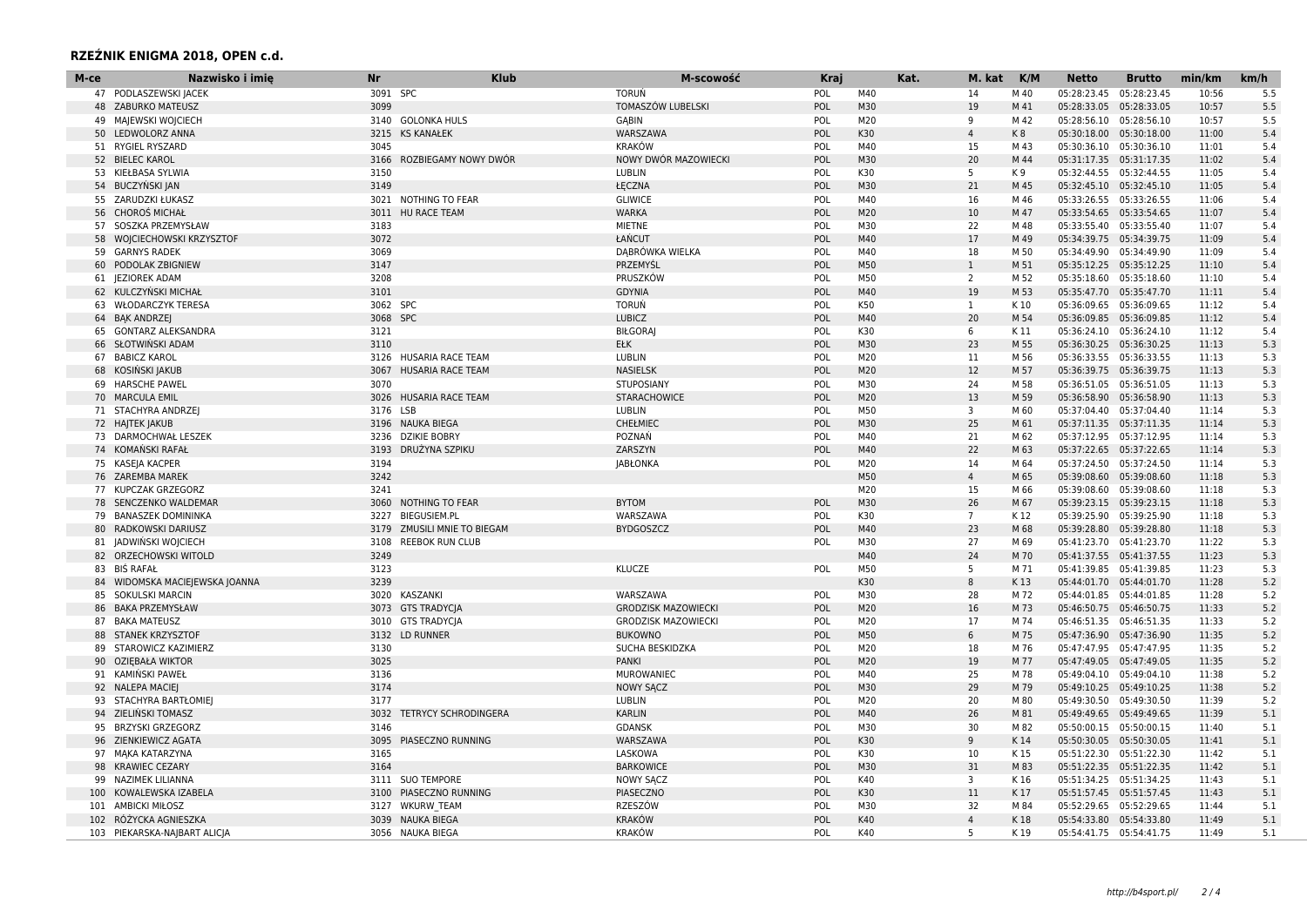### **RZEŹNIK ENIGMA 2018, OPEN c.d.**

| M-ce | Nazwisko i imie                            | Nr           | <b>Klub</b>                 | M-scowość                   | Kraj       | Kat. | M. kat         | K/M  | <b>Netto</b>                           | <b>Brutto</b> | min/km | km/h |
|------|--------------------------------------------|--------------|-----------------------------|-----------------------------|------------|------|----------------|------|----------------------------------------|---------------|--------|------|
|      | 47 PODLASZEWSKI JACEK                      | 3091 SPC     |                             | <b>TORUŃ</b>                | POL        | M40  | 14             | M 40 | 05:28:23.45                            | 05:28:23.45   | 10:56  | 5.5  |
|      | 48 ZABURKO MATEUSZ                         | 3099         |                             | TOMASZÓW LUBELSKI           | POL        | M30  | 19             | M 41 | 05:28:33.05                            | 05:28:33.05   | 10:57  | 5.5  |
|      | 49 MAJEWSKI WOJCIECH                       |              | 3140 GOLONKA HULS           | <b>GABIN</b>                | POL        | M20  | 9              | M 42 | 05:28:56.10                            | 05:28:56.10   | 10:57  | 5.5  |
|      | 50 LEDWOLORZ ANNA                          |              | 3215 KS KANAŁEK             | WARSZAWA                    | POL        | K30  | $\overline{4}$ | K8   | 05:30:18.00                            | 05:30:18.00   | 11:00  | 5.4  |
|      | 51 RYGIEL RYSZARD                          | 3045         |                             | <b>KRAKÓW</b>               | POL        | M40  | 15             | M 43 | 05:30:36.10 05:30:36.10                |               | 11:01  | 5.4  |
|      | 52 BIELEC KAROL                            | 3166         | ROZBIEGAMY NOWY DWÓR        | NOWY DWÓR MAZOWIECKI        | POL        | M30  | 20             | M 44 | 05:31:17.35                            | 05:31:17.35   | 11:02  | 5.4  |
|      | 53 KIEŁBASA SYLWIA                         | 3150         |                             | LUBLIN                      | POL        | K30  | 5              | K 9  | 05:32:44.55                            | 05:32:44.55   | 11:05  | 5.4  |
|      | 54 BUCZYŃSKI JAN                           | 3149         |                             | ŁECZNA                      | POL        | M30  | 21             | M 45 | 05:32:45.10 05:32:45.10                |               | 11:05  | 5.4  |
|      | 55 ZARUDZKI ŁUKASZ                         |              | 3021 NOTHING TO FEAR        | <b>GLIWICE</b>              | POL        | M40  | 16             | M 46 | 05:33:26.55 05:33:26.55                |               | 11:06  | 5.4  |
|      | 56 CHOROŚ MICHAŁ                           |              | 3011 HU RACE TEAM           | <b>WARKA</b>                | POL        | M20  | 10             | M 47 | 05:33:54.65 05:33:54.65                |               | 11:07  | 5.4  |
|      | 57 SOSZKA PRZEMYSŁAW                       | 3183         |                             | MIETNE                      | POL        | M30  | 22             | M 48 | 05:33:55.40                            | 05:33:55.40   | 11:07  | 5.4  |
|      | 58 WOJCIECHOWSKI KRZYSZTOF                 | 3072         |                             | ŁAŃCUT                      | POL        | M40  | 17             | M 49 | 05:34:39.75 05:34:39.75                |               | 11:09  | 5.4  |
|      |                                            |              |                             |                             |            | M40  | 18             | M 50 |                                        | 05:34:49.90   | 11:09  | 5.4  |
| 59   | <b>GARNYS RADEK</b><br>60 PODOLAK ZBIGNIEW | 3069<br>3147 |                             | DĄBRÓWKA WIELKA<br>PRZEMYŚL | POL<br>POL | M50  | $\mathbf{1}$   | M 51 | 05:34:49.90<br>05:35:12.25 05:35:12.25 |               | 11:10  | 5.4  |
|      |                                            |              |                             |                             |            |      |                |      |                                        |               |        |      |
|      | 61 JEZIOREK ADAM                           | 3208         |                             | PRUSZKÓW                    | POL        | M50  | $\overline{2}$ | M 52 | 05:35:18.60                            | 05:35:18.60   | 11:10  | 5.4  |
|      | 62 KULCZYŃSKI MICHAŁ                       | 3101         |                             | <b>GDYNIA</b>               | POL        | M40  | 19             | M 53 | 05:35:47.70                            | 05:35:47.70   | 11:11  | 5.4  |
|      | 63 WŁODARCZYK TERESA                       | 3062 SPC     |                             | <b>TORUN</b>                | POL        | K50  | 1              | K 10 | 05:36:09.65                            | 05:36:09.65   | 11:12  | 5.4  |
|      | 64 BAK ANDRZEJ                             | 3068         | <b>SPC</b>                  | <b>LUBICZ</b>               | POL        | M40  | 20             | M 54 | 05:36:09.85 05:36:09.85                |               | 11:12  | 5.4  |
|      | 65 GONTARZ ALEKSANDRA                      | 3121         |                             | <b>BIŁGORA</b>              | POL        | K30  | 6              | K 11 | 05:36:24.10 05:36:24.10                |               | 11:12  | 5.4  |
|      | 66 SŁOTWINSKI ADAM                         | 3110         |                             | <b>EŁK</b>                  | POL        | M30  | 23             | M 55 | 05:36:30.25 05:36:30.25                |               | 11:13  | 5.3  |
| 67   | <b>BABICZ KAROL</b>                        | 3126         | <b>HUSARIA RACE TEAM</b>    | LUBLIN                      | POL        | M20  | 11             | M 56 | 05:36:33.55 05:36:33.55                |               | 11:13  | 5.3  |
| 68   | KOSIŃSKI JAKUB                             | 3067         | HUSARIA RACE TEAM           | <b>NASIELSK</b>             | POL        | M20  | 12             | M 57 | 05:36:39.75 05:36:39.75                |               | 11:13  | 5.3  |
|      | 69 HARSCHE PAWEL                           | 3070         |                             | STUPOSIANY                  | POL        | M30  | 24             | M 58 | 05:36:51.05 05:36:51.05                |               | 11:13  | 5.3  |
|      | 70 MARCULA EMIL                            | 3026         | HUSARIA RACE TEAM           | <b>STARACHOWICE</b>         | POL        | M20  | 13             | M 59 | 05:36:58.90                            | 05:36:58.90   | 11:13  | 5.3  |
|      | 71 STACHYRA ANDRZEJ                        | 3176 LSB     |                             | LUBLIN                      | POL        | M50  | 3              | M 60 | 05:37:04.40                            | 05:37:04.40   | 11:14  | 5.3  |
|      | 72 HAJTEK JAKUB                            | 3196         | <b>NAUKA BIEGA</b>          | CHEŁMIEC                    | POL        | M30  | 25             | M 61 | 05:37:11.35 05:37:11.35                |               | 11:14  | 5.3  |
| 73   | DARMOCHWAŁ LESZEK                          | 3236         | <b>DZIKIE BOBRY</b>         | POZNAŃ                      | POL        | M40  | 21             | M 62 | 05:37:12.95 05:37:12.95                |               | 11:14  | 5.3  |
|      | 74 KOMAŃSKI RAFAŁ                          |              | 3193 DRUŻYNA SZPIKU         | ZARSZYN                     | POL        | M40  | 22             | M 63 | 05:37:22.65 05:37:22.65                |               | 11:14  | 5.3  |
|      | 75 KASEJA KACPER                           | 3194         |                             | <b>JABŁONKA</b>             | POL        | M20  | 14             | M 64 | 05:37:24.50                            | 05:37:24.50   | 11:14  | 5.3  |
|      | 76 ZAREMBA MAREK                           | 3242         |                             |                             |            | M50  | $\overline{4}$ | M 65 | 05:39:08.60 05:39:08.60                |               | 11:18  | 5.3  |
| 77   | KUPCZAK GRZEGORZ                           | 3241         |                             |                             |            | M20  | 15             | M 66 | 05:39:08.60                            | 05:39:08.60   | 11:18  | 5.3  |
| 78   | SENCZENKO WALDEMAR                         | 3060         | <b>NOTHING TO FEAR</b>      | <b>BYTOM</b>                | POL        | M30  | 26             | M 67 | 05:39:23.15   05:39:23.15              |               | 11:18  | 5.3  |
|      | 79 BANASZEK DOMININKA                      | 3227         | <b>BIEGUSIEM.PL</b>         | WARSZAWA                    | POL        | K30  | $\overline{7}$ | K 12 | 05:39:25.90 05:39:25.90                |               | 11:18  | 5.3  |
|      | 80 RADKOWSKI DARIUSZ                       | 3179         | ZMUSILI MNIE TO BIEGAM      | <b>BYDGOSZCZ</b>            | POL        | M40  | 23             | M 68 | 05:39:28.80 05:39:28.80                |               | 11:18  | 5.3  |
|      |                                            |              |                             |                             |            |      |                |      |                                        |               |        |      |
|      | 81 JADWIŃSKI WOJCIECH                      | 3108         | <b>REEBOK RUN CLUB</b>      |                             | POL        | M30  | 27             | M 69 | 05:41:23.70                            | 05:41:23.70   | 11:22  | 5.3  |
|      | 82 ORZECHOWSKI WITOLD                      | 3249         |                             |                             |            | M40  | 24             | M 70 | 05:41:37.55 05:41:37.55                |               | 11:23  | 5.3  |
|      | 83 BIS RAFAŁ                               | 3123         |                             | <b>KLUCZE</b>               | POL        | M50  | 5              | M 71 | 05:41:39.85 05:41:39.85                |               | 11:23  | 5.3  |
| 84   | WIDOMSKA MACIEJEWSKA JOANNA                | 3239         |                             |                             |            | K30  | 8              | K13  | 05:44:01.70                            | 05:44:01.70   | 11:28  | 5.2  |
|      | 85 SOKULSKI MARCIN                         | 3020         | KASZANKI                    | WARSZAWA                    | POL        | M30  | 28             | M 72 | 05:44:01.85 05:44:01.85                |               | 11:28  | 5.2  |
|      | 86 BAKA PRZEMYSŁAW                         | 3073         | <b>GTS TRADYCIA</b>         | <b>GRODZISK MAZOWIECKI</b>  | POL        | M20  | 16             | M 73 | 05:46:50.75 05:46:50.75                |               | 11:33  | 5.2  |
| 87   | <b>BAKA MATEUSZ</b>                        |              | 3010 GTS TRADYCIA           | <b>GRODZISK MAZOWIECK</b>   | POL        | M20  | 17             | M 74 | 05:46:51.35  05:46:51.35               |               | 11:33  | 5.2  |
| 88   | <b>STANEK KRZYSZTOF</b>                    | 3132         | LD RUNNER                   | <b>BUKOWNO</b>              | POL        | M50  | 6              | M 75 | 05:47:36.90                            | 05:47:36.90   | 11:35  | 5.2  |
|      | 89 STAROWICZ KAZIMIERZ                     | 3130         |                             | SUCHA BESKIDZKA             | POL        | M20  | 18             | M 76 | 05:47:47.95 05:47:47.95                |               | 11:35  | 5.2  |
|      | 90 OZIEBAŁA WIKTOR                         | 3025         |                             | PANKI                       | POL        | M20  | 19             | M 77 | 05:47:49.05 05:47:49.05                |               | 11:35  | 5.2  |
|      | 91 KAMINSKI PAWEŁ                          | 3136         |                             | MUROWANIEC                  | POL        | M40  | 25             | M 78 | 05:49:04.10                            | 05:49:04.10   | 11:38  | 5.2  |
|      | 92 NALEPA MACIEJ                           | 3174         |                             | <b>NOWY SACZ</b>            | POL        | M30  | 29             | M 79 | 05:49:10.25                            | 05:49:10.25   | 11:38  | 5.2  |
|      | 93 STACHYRA BARTŁOMIEJ                     | 3177         |                             | LUBLIN                      | POL        | M20  | 20             | M 80 | 05:49:30.50                            | 05:49:30.50   | 11:39  | 5.2  |
|      | 94 ZIELIŃSKI TOMASZ                        | 3032         | <b>TETRYCY SCHRODINGERA</b> | <b>KARLIN</b>               | POL        | M40  | 26             | M 81 | 05:49:49.65 05:49:49.65                |               | 11:39  | 5.1  |
| 95   | <b>BRZYSKI GRZEGORZ</b>                    | 3146         |                             | <b>GDANSK</b>               | POL        | M30  | 30             | M 82 | 05:50:00.15                            | 05:50:00.15   | 11:40  | 5.1  |
|      | 96 ZIENKIEWICZ AGATA                       | 3095         | PIASECZNO RUNNING           | WARSZAWA                    | POL        | K30  | 9              | K 14 | 05:50:30.05   05:50:30.05              |               | 11:41  | 5.1  |
|      | 97 MAKA KATARZYNA                          | 3165         |                             | LASKOWA                     | POL        | K30  | 10             | K 15 | 05:51:22.30 05:51:22.30                |               | 11:42  | 5.1  |
|      | 98 KRAWIEC CEZARY                          | 3164         |                             | <b>BARKOWICE</b>            | POL        | M30  | 31             | M 83 | 05:51:22.35 05:51:22.35                |               | 11:42  | 5.1  |
| 99   | NAZIMEK LILIANNA                           |              | 3111 SUO TEMPORE            | <b>NOWY SACZ</b>            | POL        | K40  | 3              | K 16 | 05:51:34.25                            | 05:51:34.25   | 11:43  | 5.1  |
|      | 100 KOWALEWSKA IZABELA                     | 3100         | PIASECZNO RUNNING           | PIASECZNO                   | POL        | K30  | 11             | K 17 | 05:51:57.45 05:51:57.45                |               | 11:43  | 5.1  |
|      | 101 AMBICKI MIŁOSZ                         | 3127         | <b>WKURW TEAM</b>           | RZESZÓW                     | POL        | M30  | 32             | M 84 | 05:52:29.65 05:52:29.65                |               | 11:44  | 5.1  |
| 102  | RÓŻYCKA AGNIESZKA                          |              | 3039 NAUKA BIEGA            | <b>KRAKÓW</b>               | POL        | K40  | $\overline{4}$ | K18  | 05:54:33.80 05:54:33.80                |               | 11:49  | 5.1  |
|      | 103 PIEKARSKA-NAJBART ALICJA               |              | 3056 NAUKA BIEGA            | <b>KRAKÓW</b>               | POL        | K40  | 5              | K 19 | 05:54:41.75  05:54:41.75               |               | 11:49  | 5.1  |
|      |                                            |              |                             |                             |            |      |                |      |                                        |               |        |      |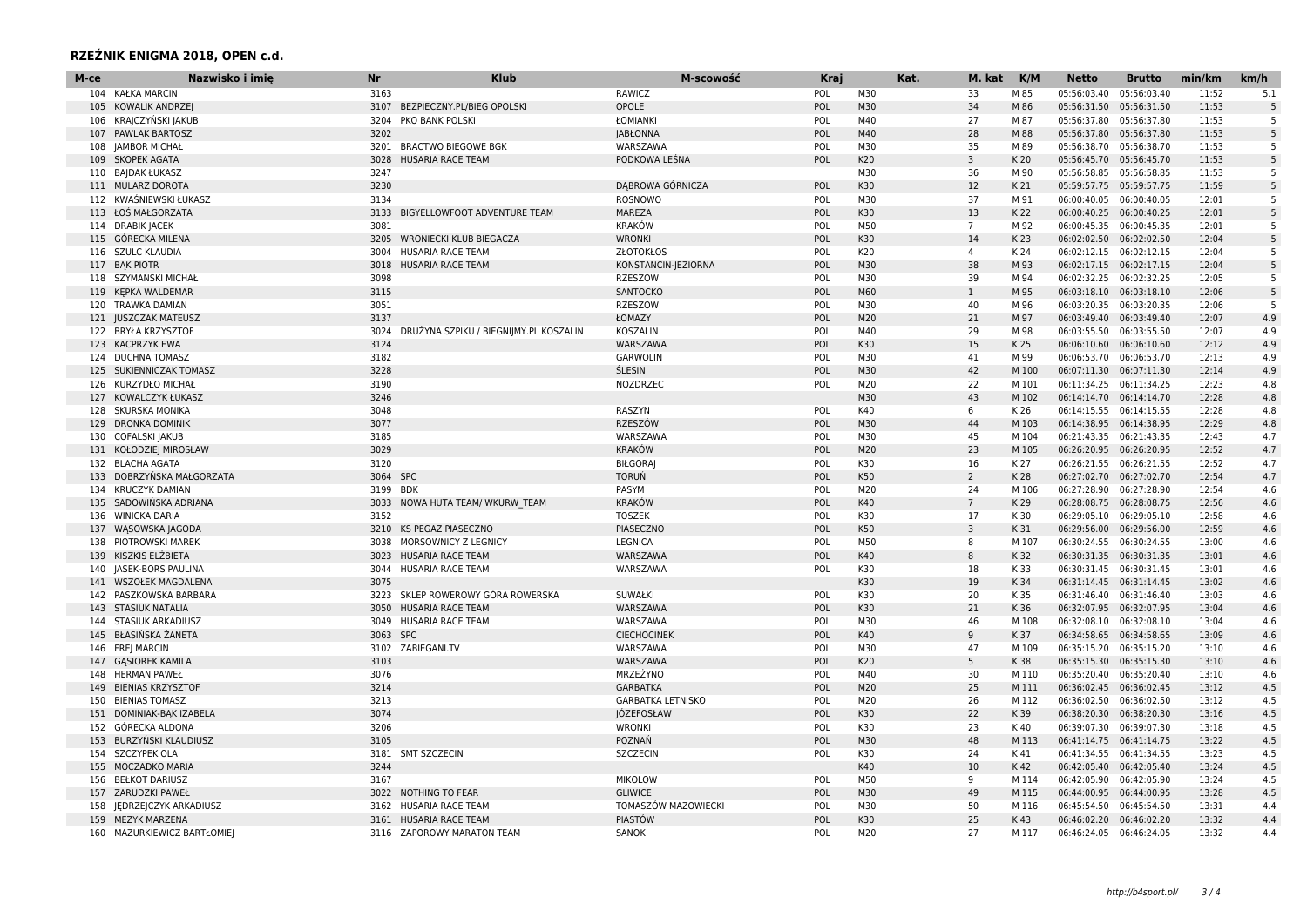### **RZEŹNIK ENIGMA 2018, OPEN c.d.**

| M-ce | Nazwisko i imie                        | <b>Nr</b>    | <b>Klub</b>                            | M-scowość                | <b>Kraj</b> |            | Kat.           | M. kat          | K/M          | <b>Netto</b>                                       | <b>Brutto</b> | min/km         | km/h       |
|------|----------------------------------------|--------------|----------------------------------------|--------------------------|-------------|------------|----------------|-----------------|--------------|----------------------------------------------------|---------------|----------------|------------|
|      | 104 KAŁKA MARCIN                       | 3163         |                                        | RAWICZ                   | POL         | M30        |                | 33              | M 85         | 05:56:03.40                                        | 05:56:03.40   | 11:52          | 5.1        |
|      | 105 KOWALIK ANDRZEJ                    | 3107         | BEZPIECZNY.PL/BIEG OPOLSKI             | OPOLE                    | POL         | M30        |                | 34              | M 86         | 05:56:31.50 05:56:31.50                            |               | 11:53          | 5          |
|      | 106 KRAJCZYŃSKI JAKUB                  | 3204         | PKO BANK POLSKI                        | ŁOMIANKI                 | POL         | M40        |                | 27              | M 87         | 05:56:37.80                                        | 05:56:37.80   | 11:53          | 5          |
|      | 107 PAWLAK BARTOSZ                     | 3202         |                                        | <b>JABŁONNA</b>          | POL         | M40        |                | 28              | M 88         | 05:56:37.80 05:56:37.80                            |               | 11:53          | 5          |
|      | 108 JAMBOR MICHAŁ                      |              | 3201 BRACTWO BIEGOWE BGK               | WARSZAWA                 | POL         | M30        |                | 35              | M 89         | 05:56:38.70 05:56:38.70                            |               | 11:53          | 5          |
|      | 109 SKOPEK AGATA                       | 3028         | HUSARIA RACE TEAM                      | PODKOWA LEŚNA            | POL         | K20        |                | $\overline{3}$  | K 20         | 05:56:45.70 05:56:45.70                            |               | 11:53          |            |
|      | 110 BAJDAK ŁUKASZ                      | 3247         |                                        |                          |             | M30        |                | 36              | M 90         | 05:56:58.85 05:56:58.85                            |               | 11:53          | 5          |
|      | 111 MULARZ DOROTA                      | 3230         |                                        | DĄBROWA GÓRNICZA         | POL         | K30        |                | 12              | K 21         | 05:59:57.75 05:59:57.75                            |               | 11:59          | 5          |
|      | 112 KWAŚNIEWSKI ŁUKASZ                 | 3134         |                                        | <b>ROSNOWO</b>           | POL         | M30        |                | 37              | M 91         | 06:00:40.05 06:00:40.05                            |               | 12:01          | 5          |
|      | 113 ŁOŚ MAŁGORZATA                     | 3133         | <b>BIGYELLOWFOOT ADVENTURE TEAM</b>    | MAREZA                   | POL         | K30        |                | 13              | K 22         | 06:00:40.25                                        | 06:00:40.25   | 12:01          |            |
|      | 114 DRABIK JACEK                       | 3081         |                                        | <b>KRAKÓW</b>            | POL         | M50        |                | $7^{\circ}$     | M 92         | 06:00:45.35 06:00:45.35                            |               | 12:01          | 5          |
|      | 115 GÓRECKA MILENA                     | 3205         | WRONIECKI KLUB BIEGACZA                | <b>WRONKI</b>            | POL         | K30        |                | 14              | K 23         | 06:02:02.50 06:02:02.50                            |               | 12:04          | 5          |
|      | 116 SZULC KLAUDIA                      | 3004         | <b>HUSARIA RACE TEAM</b>               | <b>ZŁOTOKŁOS</b>         | POL         | K20        |                | $\overline{4}$  | K 24         | 06:02:12.15 06:02:12.15                            |               | 12:04          | 5          |
|      | 117 BAK PIOTR                          | 3018         | <b>HUSARIA RACE TEAM</b>               | KONSTANCIN-JEZIORNA      | POL         | M30        |                | 38              | M 93         | 06:02:17.15  06:02:17.15                           |               | 12:04          | 5          |
|      | 118 SZYMAŃSKI MICHAŁ                   | 3098         |                                        | RZESZÓW                  | POL         | M30        |                | 39              | M 94         | 06:02:32.25 06:02:32.25                            |               | 12:05          | 5          |
|      | 119 KEPKA WALDEMAR                     | 3115         |                                        | <b>SANTOCKO</b>          | POL         | M60        |                | 1               | M 95         | 06:03:18.10 06:03:18.10                            |               | 12:06          | 5          |
|      | 120 TRAWKA DAMIAN                      | 3051         |                                        | RZESZÓW                  | POL         | M30        |                | 40              | M 96         | 06:03:20.35 06:03:20.35                            |               | 12:06          | 5          |
|      | 121 JUSZCZAK MATEUSZ                   | 3137         |                                        | ŁOMAZY                   | POL         | M20        |                | 21              | M 97         | 06:03:49.40 06:03:49.40                            |               | 12:07          | 4.9        |
|      | 122 BRYŁA KRZYSZTOF                    | 3024         | DRUŻYNA SZPIKU / BIEGNIJMY.PL KOSZALIN | <b>KOSZALIN</b>          | POL         | M40        |                | 29              | M 98         | 06:03:55.50 06:03:55.50                            |               | 12:07          | 4.9        |
|      | 123 KACPRZYK EWA                       | 3124         |                                        | <b>WARSZAWA</b>          | POL         | K30        |                | 15              | K 25         | 06:06:10.60 06:06:10.60                            |               | 12:12          | 4.9        |
|      | 124 DUCHNA TOMASZ                      | 3182         |                                        | <b>GARWOLIN</b>          | POL         | M30        |                | 41              | M 99         | 06:06:53.70 06:06:53.70                            |               | 12:13          | 4.9        |
|      | 125 SUKIENNICZAK TOMASZ                | 3228         |                                        | <b>ŚLESIN</b>            | POL         | M30        |                | 42              | M 100        | 06:07:11.30 06:07:11.30                            |               | 12:14          | 4.9        |
|      | 126 KURZYDŁO MICHAŁ                    | 3190         |                                        | NOZDRZEC                 | POL         | M20        |                | 22              | M 101        | 06:11:34.25 06:11:34.25                            |               | 12:23          | 4.8        |
|      | 127 KOWALCZYK ŁUKASZ                   | 3246         |                                        |                          |             | M30        |                | 43              | M 102        | 06:14:14.70 06:14:14.70                            |               | 12:28          | 4.8        |
|      | 128 SKURSKA MONIKA                     | 3048         |                                        | RASZYN                   | POL         | K40        |                | 6               | K 26         | 06:14:15.55 06:14:15.55                            |               | 12:28          | 4.8        |
|      | 129 DRONKA DOMINIK                     | 3077         |                                        | RZESZÓW                  | POL         | M30        |                | 44              | M 103        | 06:14:38.95 06:14:38.95                            |               | 12:29          | 4.8        |
|      | 130 COFALSKI JAKUB                     | 3185         |                                        | WARSZAWA                 | POL         | M30        |                | 45              | M 104        | 06:21:43.35 06:21:43.35                            |               | 12:43          | 4.7        |
|      | 131 KOŁODZIEJ MIROSŁAW                 | 3029         |                                        | <b>KRAKÓW</b>            | POL         | M20        |                | 23              | M 105        | 06:26:20.95 06:26:20.95                            |               | 12:52          | 4.7        |
|      | 132 BLACHA AGATA                       | 3120         |                                        | <b>BIŁGORAJ</b>          | POL         | K30        |                | 16              | K 27         | 06:26:21.55 06:26:21.55                            |               | 12:52          | 4.7        |
|      | 133 DOBRZYŃSKA MAŁGORZATA              | 3064 SPC     |                                        | <b>TORUŃ</b>             | POL         | K50        |                | $\overline{2}$  | K 28         | 06:27:02.70 06:27:02.70                            |               | 12:54          | 4.7        |
|      | 134 KRUCZYK DAMIAN                     | 3199         | <b>BDK</b>                             | PASYM                    | POL         | M20        |                | 24              | M 106        | 06:27:28.90 06:27:28.90                            |               | 12:54          | 4.6        |
|      | 135 SADOWIŃSKA ADRIANA                 | 3033         | NOWA HUTA TEAM/ WKURW TEAM             | <b>KRAKÓW</b>            | POL         | K40        |                | $7\overline{ }$ | K 29         | 06:28:08.75 06:28:08.75                            |               | 12:56          | 4.6        |
|      | 136 WINICKA DARIA                      | 3152         |                                        | <b>TOSZEK</b>            | POL         | K30        |                | 17              | K 30         | 06:29:05.10 06:29:05.10                            |               | 12:58          | 4.6        |
|      | 137 WĄSOWSKA JAGODA                    | 3210         | <b>KS PEGAZ PIASECZNO</b>              | PIASECZNO                | POL         | K50        | $\overline{3}$ |                 | K 31         | 06:29:56.00 06:29:56.00                            |               | 12:59          | 4.6        |
|      | 138 PIOTROWSKI MAREK                   | 3038         | MORSOWNICY Z LEGNICY                   | <b>LEGNICA</b>           | POL         | M50        |                | 8               | M 107        | 06:30:24.55 06:30:24.55                            |               | 13:00          | 4.6        |
|      | 139 KISZKIS ELŻBIETA                   | 3023         | <b>HUSARIA RACE TEAM</b>               | WARSZAWA                 | POL         | K40        |                | 8               | K 32         | 06:30:31.35 06:30:31.35                            |               | 13:01          | 4.6        |
|      | 140   ASEK-BORS PAULINA                | 3044         | HUSARIA RACE TEAM                      | WARSZAWA                 | POL         | K30        |                | 18              | K 33         | 06:30:31.45 06:30:31.45                            |               | 13:01          | 4.6        |
|      | 141 WSZOŁEK MAGDALENA                  | 3075         |                                        |                          |             | K30        |                | 19              | K 34         | 06:31:14.45   06:31:14.45                          |               | 13:02          | 4.6        |
| 142  | PASZKOWSKA BARBARA                     | 3223         | SKLEP ROWEROWY GÓRA ROWERSKA           | SUWAŁKI                  | POL         | K30        |                | 20              | K 35         | 06:31:46.40                                        | 06:31:46.40   | 13:03          | 4.6        |
|      | 143 STASIUK NATALIA                    | 3050         | <b>HUSARIA RACE TEAM</b>               | WARSZAWA                 | POL         | K30        |                | 21              | K 36         | 06:32:07.95 06:32:07.95                            |               | 13:04          | 4.6        |
|      | 144 STASIUK ARKADIUSZ                  | 3049         | <b>HUSARIA RACE TEAM</b>               | WARSZAWA                 | POL         | M30        |                | 46              | M 108        | 06:32:08.10 06:32:08.10                            |               | 13:04          | 4.6        |
|      | 145 BŁASIŃSKA ŻANETA                   | 3063 SPC     |                                        | <b>CIECHOCINEK</b>       | POL         | K40        |                | 9               | K 37         | 06:34:58.65 06:34:58.65                            |               | 13:09          | 4.6        |
|      | 146 FREJ MARCIN                        | 3102         | ZABIEGANI.TV                           | WARSZAWA                 | POL         | M30        |                | 47              | M 109        | 06:35:15.20 06:35:15.20                            |               | 13:10          | 4.6        |
|      | 147 GASIOREK KAMILA                    | 3103         |                                        | WARSZAWA                 | POL         | K20        |                | 5               | K 38         | 06:35:15.30 06:35:15.30                            |               | 13:10          | 4.6        |
|      | 148 HERMAN PAWEŁ                       | 3076         |                                        | MRZEŻYNO                 | POL         | M40        |                | 30              | M 110        | 06:35:20.40 06:35:20.40                            |               | 13:10          | 4.6        |
|      | 149 BIENIAS KRZYSZTOF                  | 3214         |                                        | <b>GARBATKA</b>          | POL         | M20        |                | 25              | M 111        | 06:36:02.45 06:36:02.45                            |               | 13:12          | 4.5        |
|      | 150 BIENIAS TOMASZ                     | 3213         |                                        | <b>GARBATKA LETNISKO</b> | POL         | M20        |                | 26              | M 112        | 06:36:02.50 06:36:02.50                            |               | 13:12          | 4.5        |
|      | 151 DOMINIAK-BAK IZABELA               | 3074<br>3206 |                                        | JÓZEFOSŁAW               | POL         | K30        |                | 22              | K 39         | 06:38:20.30 06:38:20.30                            |               | 13:16          | 4.5        |
|      | 152 GÓRECKA ALDONA                     |              |                                        | <b>WRONKI</b><br>POZNAŃ  | POL         | K30        |                | 23              | K 40         | 06:39:07.30 06:39:07.30                            |               | 13:18          | 4.5        |
|      | 153 BURZYŃSKI KLAUDIUSZ                | 3105         |                                        |                          | POL         | M30        |                | 48              | M 113        | 06:41:14.75                                        | 06:41:14.75   | 13:22          | 4.5        |
|      | 154 SZCZYPEK OLA<br>155 MOCZADKO MARIA | 3244         | 3181 SMT SZCZECIN                      | <b>SZCZECIN</b>          | POL         | K30<br>K40 |                | 24<br>10        | K 41<br>K 42 | 06:41:34.55 06:41:34.55<br>06:42:05.40 06:42:05.40 |               | 13:23<br>13:24 | 4.5<br>4.5 |
|      | 156 BEŁKOT DARIUSZ                     | 3167         |                                        | <b>MIKOLOW</b>           | POL         | M50        |                | 9               | M 114        | 06:42:05.90 06:42:05.90                            |               | 13:24          | 4.5        |
| 157  | ZARUDZKI PAWEŁ                         | 3022         | <b>NOTHING TO FEAR</b>                 | <b>GLIWICE</b>           | POL         | M30        |                | 49              | M 115        | 06:44:00.95 06:44:00.95                            |               | 13:28          | 4.5        |
|      | 158 JEDRZEJCZYK ARKADIUSZ              |              | 3162 HUSARIA RACE TEAM                 | TOMASZÓW MAZOWIECKI      | POL         | M30        |                | 50              | M 116        | 06:45:54.50 06:45:54.50                            |               | 13:31          | 4.4        |
|      | 159 MEZYK MARZENA                      |              | 3161 HUSARIA RACE TEAM                 | PIASTÓW                  | POL         | K30        |                | 25              | K43          | 06:46:02.20 06:46:02.20                            |               | 13:32          | 4.4        |
|      | 160 MAZURKIEWICZ BARTŁOMIEJ            |              | 3116 ZAPOROWY MARATON TEAM             | SANOK                    | POL         | M20        |                | 27              | M 117        | 06:46:24.05 06:46:24.05                            |               | 13:32          | 4.4        |
|      |                                        |              |                                        |                          |             |            |                |                 |              |                                                    |               |                |            |